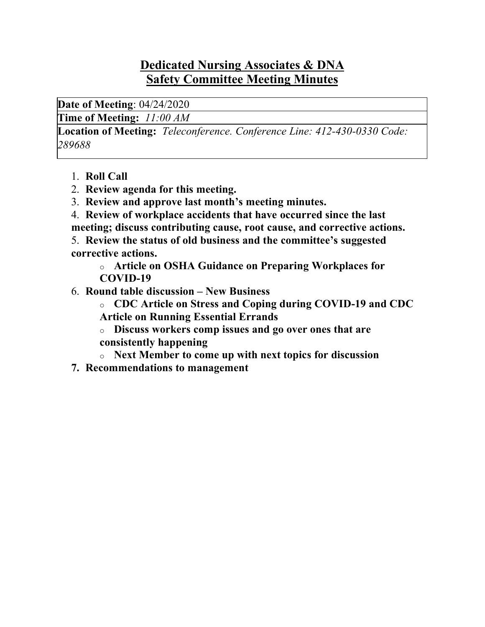### **Dedicated Nursing Associates & DNA Safety Committee Meeting Minutes**

**Date of Meeting**: 04/24/2020

**Time of Meeting:** *11:00 AM*

**Location of Meeting:** *Teleconference. Conference Line: 412-430-0330 Code: 289688*

- 1. **Roll Call**
- 2. **Review agenda for this meeting.**
- 3. **Review and approve last month's meeting minutes.**
- 4. **Review of workplace accidents that have occurred since the last meeting; discuss contributing cause, root cause, and corrective actions.**
- 5. **Review the status of old business and the committee's suggested corrective actions.**

o **Article on OSHA Guidance on Preparing Workplaces for COVID-19**

6. **Round table discussion – New Business**

o **CDC Article on Stress and Coping during COVID-19 and CDC Article on Running Essential Errands**

o **Discuss workers comp issues and go over ones that are consistently happening**

- o **Next Member to come up with next topics for discussion**
- **7. Recommendations to management**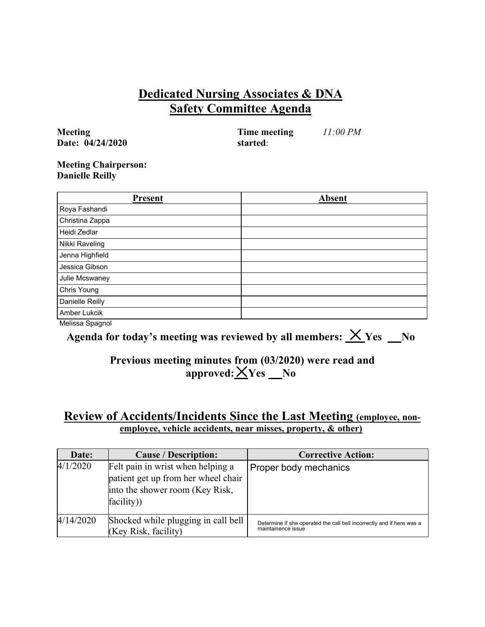### **Dedicated Nursing Associates & DNA Safety Committee Agenda**

**Meeting Date: 04/24/2020** **Time meeting started**:

*11:00 PM*

#### **Meeting Chairperson: Danielle Reilly**

| <b>Present</b>  | <b>Absent</b> |
|-----------------|---------------|
| Roya Fashandi   |               |
| Christina Zappa |               |
| Heidi Zedlar    |               |
| Nikki Raveling  |               |
| Jenna Highfield |               |
| Jessica Gibson  |               |
| Julie Mcswaney  |               |
| Chris Young     |               |
| Danielle Reilly |               |
| Amber Lukcik    |               |
| Melissa Spagnol |               |

Agenda for today's meeting was reviewed by all members:  $X$  Yes  $N$ o

### **Previous meeting minutes from (03/2020) were read and**   $approved: \underline{\times} Yes$  No

### **Review of Accidents/Incidents Since the Last Meeting (employee, nonemployee, vehicle accidents, near misses, property, & other)**

| Date:     | <b>Cause / Description:</b>                                                                                               | <b>Corrective Action:</b>                                                                   |
|-----------|---------------------------------------------------------------------------------------------------------------------------|---------------------------------------------------------------------------------------------|
| 4/1/2020  | Felt pain in wrist when helping a<br>patient get up from her wheel chair<br>into the shower room (Key Risk,<br>facility)) | Proper body mechanics                                                                       |
| 4/14/2020 | Shocked while plugging in call bell<br>(Key Risk, facility)                                                               | Determine if she operated the call bell incorrectly and if here was a<br>maintainence issue |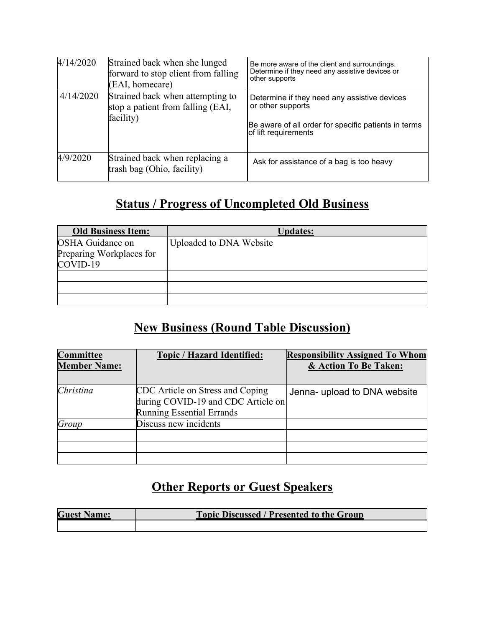| 4/14/2020 | Strained back when she lunged<br>forward to stop client from falling<br>(EAI, homecare) | Be more aware of the client and surroundings.<br>Determine if they need any assistive devices or<br>other supports                                |
|-----------|-----------------------------------------------------------------------------------------|---------------------------------------------------------------------------------------------------------------------------------------------------|
| 4/14/2020 | Strained back when attempting to<br>stop a patient from falling (EAI,<br>facility)      | Determine if they need any assistive devices<br>or other supports<br>Be aware of all order for specific patients in terms<br>of lift requirements |
| 4/9/2020  | Strained back when replacing a<br>trash bag (Ohio, facility)                            | Ask for assistance of a bag is too heavy                                                                                                          |

## **Status / Progress of Uncompleted Old Business**

| <b>Old Business Item:</b> | <b>Updates:</b>         |
|---------------------------|-------------------------|
| <b>OSHA</b> Guidance on   | Uploaded to DNA Website |
| Preparing Workplaces for  |                         |
| COVID-19                  |                         |
|                           |                         |
|                           |                         |
|                           |                         |

# **New Business (Round Table Discussion)**

| Committee<br><b>Member Name:</b> | <b>Topic / Hazard Identified:</b>                                                                          | <b>Responsibility Assigned To Whom</b><br>& Action To Be Taken: |
|----------------------------------|------------------------------------------------------------------------------------------------------------|-----------------------------------------------------------------|
| Christina                        | CDC Article on Stress and Coping<br>during COVID-19 and CDC Article on<br><b>Running Essential Errands</b> | Jenna- upload to DNA website                                    |
| Group                            | Discuss new incidents                                                                                      |                                                                 |
|                                  |                                                                                                            |                                                                 |

# **Other Reports or Guest Speakers**

| <b>Guest Name:</b> | <b>Topic Discussed / Presented to the Group</b> |  |
|--------------------|-------------------------------------------------|--|
|                    |                                                 |  |